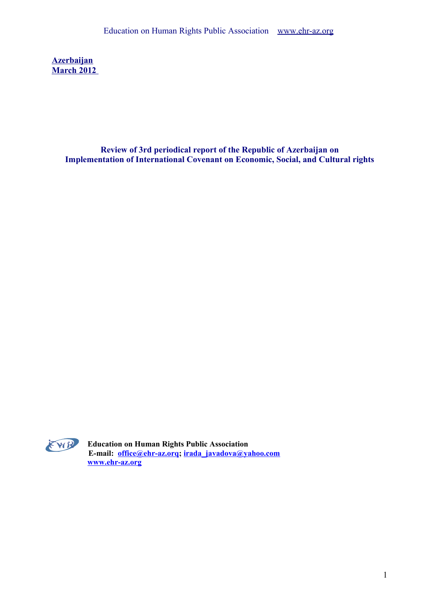**Azerbaijan March 2012** 

> **Review of 3rd periodical report of the Republic of Azerbaijan on Implementation of International Covenant on Economic, Social, and Cultural rights**



**Education on Human Rights Public Association E-mail: [office@ehr-az.orq;](mailto:office@ehr-az.orq) [irada\\_javadova@yahoo.com](mailto:irada_javadova@yahoo.com) [www.ehr-az.org](http://www.ehr-az.org/)**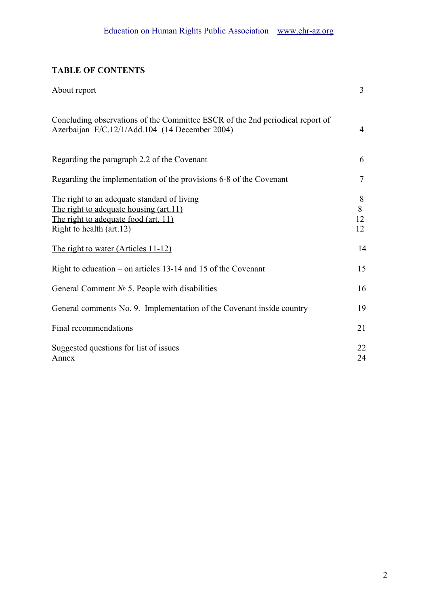# **TABLE OF CONTENTS**

| About report                                                                                                                                              | $\overline{3}$     |
|-----------------------------------------------------------------------------------------------------------------------------------------------------------|--------------------|
| Concluding observations of the Committee ESCR of the 2nd periodical report of<br>Azerbaijan E/C.12/1/Add.104 (14 December 2004)                           | $\overline{4}$     |
| Regarding the paragraph 2.2 of the Covenant                                                                                                               | 6                  |
| Regarding the implementation of the provisions 6-8 of the Covenant                                                                                        | $\overline{7}$     |
| The right to an adequate standard of living<br>The right to adequate housing (art.11)<br>The right to adequate food (art. 11)<br>Right to health (art.12) | 8<br>8<br>12<br>12 |
| <u>The right to water (Articles 11-12)</u>                                                                                                                | 14                 |
| Right to education – on articles $13-14$ and $15$ of the Covenant                                                                                         | 15                 |
| General Comment $N_2$ 5. People with disabilities                                                                                                         | 16                 |
| General comments No. 9. Implementation of the Covenant inside country                                                                                     | 19                 |
| Final recommendations                                                                                                                                     | 21                 |
| Suggested questions for list of issues<br>Annex                                                                                                           | 22<br>24           |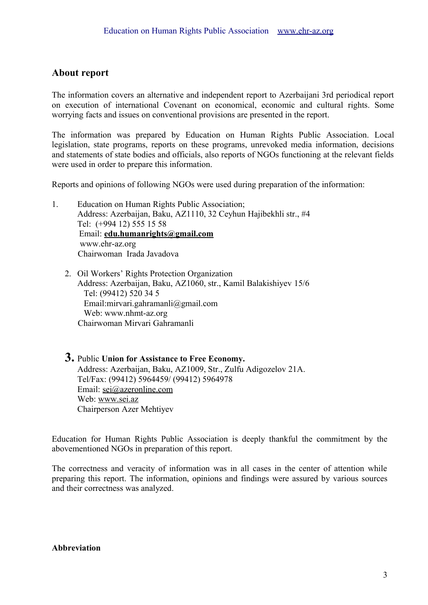# **About report**

The information covers an alternative and independent report to Azerbaijani 3rd periodical report on execution of international Covenant on economical, economic and cultural rights. Some worrying facts and issues on conventional provisions are presented in the report.

The information was prepared by Education on Human Rights Public Association. Local legislation, state programs, reports on these programs, unrevoked media information, decisions and statements of state bodies and officials, also reports of NGOs functioning at the relevant fields were used in order to prepare this information.

Reports and opinions of following NGOs were used during preparation of the information:

- 1. Education on Human Rights Public Association; Address: Azerbaijan, Baku, AZ1110, 32 Ceyhun Hajibekhli str., #4 Tel: (+994 12) 555 15 58 Email: **[edu.humanrights@gmail.com](mailto:edu.humanrights@gmail.com)** www.ehr-az.org Chairwoman Irada Javadova
	- 2. Oil Workers' Rights Protection Organization Address: Azerbaijan, Baku, AZ1060, str., Kamil Balakishiyev 15/6 Tel: (99412) 520 34 5 Email:mirvari.gahramanli@gmail.com Web: www.nhmt-az.org Chairwoman Mirvari Gahramanli

# **3.** Public **Union for Assistance to Free Economy.**  Address: Azerbaijan, Baku, AZ1009, Str., Zulfu Adigozelov 21A. Tel/Fax: (99412) 5964459/ (99412) 5964978 Еmail: [sei@azeronline.com](mailto:sei@azeronline.com) Web: [www.sei.az](http://www.sei.az/) Chairperson Azer Mehtiyev

Education for Human Rights Public Association is deeply thankful the commitment by the abovementioned NGOs in preparation of this report.

The correctness and veracity of information was in all cases in the center of attention while preparing this report. The information, opinions and findings were assured by various sources and their correctness was analyzed.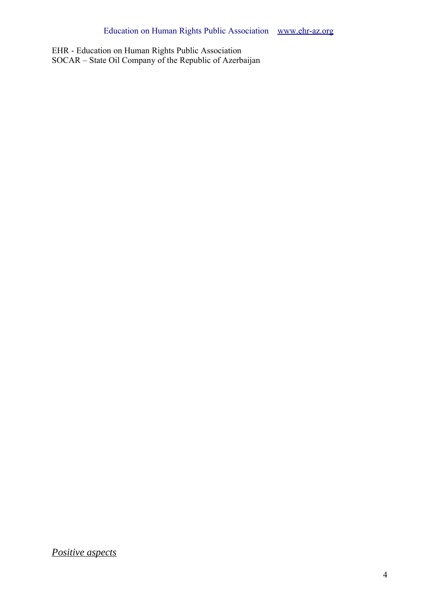EHR - Education on Human Rights Public Association SOCAR – State Oil Company of the Republic of Azerbaijan

*Positive aspects*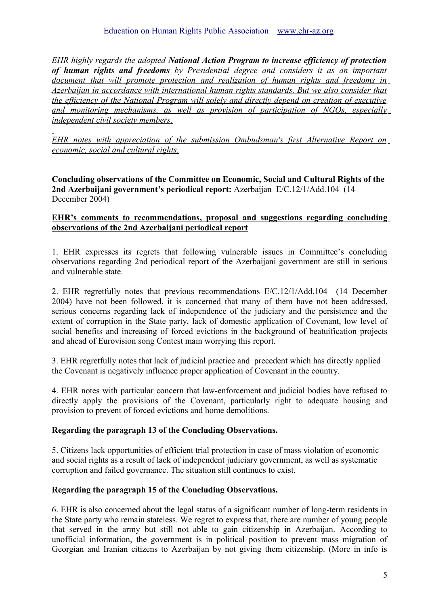*EHR highly regards the adopted National Action Program to increase efficiency of protection of human rights and freedoms by Presidential degree and considers it as an important document that will promote protection and realization of human rights and freedoms in Azerbaijan in accordance with international human rights standards. But we also consider that the efficiency of the National Program will solely and directly depend on creation of executive and monitoring mechanisms, as well as provision of participation of NGOs, especially independent civil society members.*

*EHR notes with appreciation of the submission Ombudsman's first Alternative Report on economic, social and cultural rights.*

**Concluding observations of the Committee on Economic, Social and Cultural Rights of the 2nd Azerbaijani government's periodical report:** Azerbaijan E/C.12/1/Add.104 (14 December 2004)

### **EHR 's comments to recommendations, proposal and suggestions regarding concluding observations of the 2nd Azerbaijani periodical report**

1. EHR expresses its regrets that following vulnerable issues in Committee's concluding observations regarding 2nd periodical report of the Azerbaijani government are still in serious and vulnerable state.

2. EHR regretfully notes that previous recommendations E/C.12/1/Add.104 (14 December 2004) have not been followed, it is concerned that many of them have not been addressed, serious concerns regarding lack of independence of the judiciary and the persistence and the extent of corruption in the State party, lack of domestic application of Covenant, low level of social benefits and increasing of forced evictions in the background of beatuification projects and ahead of Eurovision song Contest main worrying this report.

3. EHR regretfully notes that lack of judicial practice and precedent which has directly applied the Covenant is negatively influence proper application of Covenant in the country.

4. EHR notes with particular concern that law-enforcement and judicial bodies have refused to directly apply the provisions of the Covenant, particularly right to adequate housing and provision to prevent of forced evictions and home demolitions.

# **Regarding the paragraph 13 of the Concluding Observations.**

5. Citizens lack opportunities of efficient trial protection in case of mass violation of economic and social rights as a result of lack of independent judiciary government, as well as systematic corruption and failed governance. The situation still continues to exist.

# **Regarding the paragraph 15 of the Concluding Observations.**

6. EHR is also concerned about the legal status of a significant number of long-term residents in the State party who remain stateless. We regret to express that, there are number of young people that served in the army but still not able to gain citizenship in Azerbaijan. According to unofficial information, the government is in political position to prevent mass migration of Georgian and Iranian citizens to Azerbaijan by not giving them citizenship. (More in info is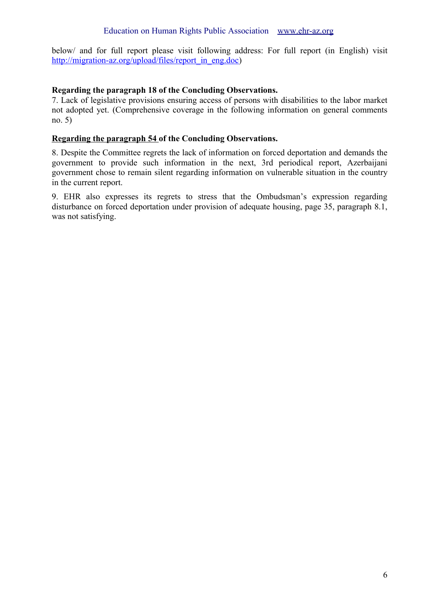below/ and for full report please visit following address: For full report (in English) visit [http://migration-az.org/upload/files/report\\_in\\_eng.doc\)](http://migration-az.org/upload/files/report_in_eng.doc)

#### **Regarding the paragraph 18 of the Concluding Observations.**

7. Lack of legislative provisions ensuring access of persons with disabilities to the labor market not adopted yet. (Comprehensive coverage in the following information on general comments no. 5)

# **Regarding the paragraph 54 of the Concluding Observations.**

8. Despite the Committee regrets the lack of information on forced deportation and demands the government to provide such information in the next, 3rd periodical report, Azerbaijani government chose to remain silent regarding information on vulnerable situation in the country in the current report.

9. EHR also expresses its regrets to stress that the Ombudsman's expression regarding disturbance on forced deportation under provision of adequate housing, page 35, paragraph 8.1, was not satisfying.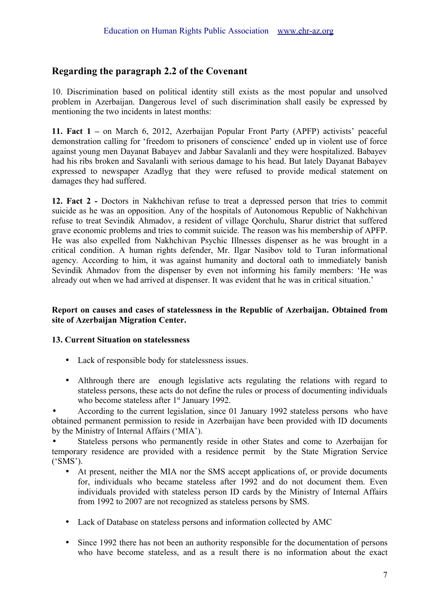# **Regarding the paragraph 2.2 of the Covenant**

10. Discrimination based on political identity still exists as the most popular and unsolved problem in Azerbaijan. Dangerous level of such discrimination shall easily be expressed by mentioning the two incidents in latest months:

**11. Fact 1 –** on March 6, 2012, Azerbaijan Popular Front Party (APFP) activists' peaceful demonstration calling for 'freedom to prisoners of conscience' ended up in violent use of force against young men Dayanat Babayev and Jabbar Savalanli and they were hospitalized. Babayev had his ribs broken and Savalanli with serious damage to his head. But lately Dayanat Babayev expressed to newspaper Azadlyg that they were refused to provide medical statement on damages they had suffered.

**12. Fact 2 -** Doctors in Nakhchivan refuse to treat a depressed person that tries to commit suicide as he was an opposition. Any of the hospitals of Autonomous Republic of Nakhchivan refuse to treat Sevindik Ahmadov, a resident of village Qorchulu, Sharur district that suffered grave economic problems and tries to commit suicide. The reason was his membership of APFP. He was also expelled from Nakhchivan Psychic Illnesses dispenser as he was brought in a critical condition. A human rights defender, Mr. Ilgar Nasibov told to Turan informational agency. According to him, it was against humanity and doctoral oath to immediately banish Sevindik Ahmadov from the dispenser by even not informing his family members: 'He was already out when we had arrived at dispenser. It was evident that he was in critical situation.'

#### **Report on causes and cases of statelessness in the Republic of Azerbaijan. Obtained from site of Azerbaijan Migration Center.**

# **13. Current Situation on statelessness**

- Lack of responsible body for statelessness issues.
- Althrough there are enough legislative acts regulating the relations with regard to stateless persons, these acts do not define the rules or process of documenting individuals who become stateless after 1<sup>st</sup> January 1992.

• According to the current legislation, since 01 January 1992 stateless persons who have obtained permanent permission to reside in Azerbaijan have been provided with ID documents by the Ministry of Internal Affairs ('MIA').

Stateless persons who permanently reside in other States and come to Azerbaijan for temporary residence are provided with a residence permit by the State Migration Service ('SMS').

- At present, neither the MIA nor the SMS accept applications of, or provide documents for, individuals who became stateless after 1992 and do not document them. Even individuals provided with stateless person ID cards by the Ministry of Internal Affairs from 1992 to 2007 are not recognized as stateless persons by SMS.
- Lack of Database on stateless persons and information collected by AMC
- Since 1992 there has not been an authority responsible for the documentation of persons who have become stateless, and as a result there is no information about the exact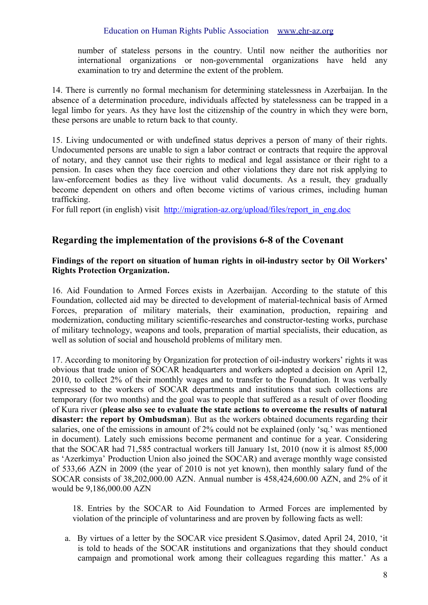number of stateless persons in the country. Until now neither the authorities nor international organizations or non-governmental organizations have held any examination to try and determine the extent of the problem.

14. There is currently no formal mechanism for determining statelessness in Azerbaijan. In the absence of a determination procedure, individuals affected by statelessness can be trapped in a legal limbo for years. As they have lost the citizenship of the country in which they were born, these persons are unable to return back to that county.

15. Living undocumented or with undefined status deprives a person of many of their rights. Undocumented persons are unable to sign a labor contract or contracts that require the approval of notary, and they cannot use their rights to medical and legal assistance or their right to a pension. In cases when they face coercion and other violations they dare not risk applying to law-enforcement bodies as they live without valid documents. As a result, they gradually become dependent on others and often become victims of various crimes, including human trafficking.

For full report (in english) visit [http://migration-az.org/upload/files/report\\_in\\_eng.doc](http://migration-az.org/upload/files/report_in_eng.doc)

# **Regarding the implementation of the provisions 6-8 of the Covenant**

#### **Findings of the report on situation of human rights in oil-industry sector by Oil Workers' Rights Protection Organization.**

16. Aid Foundation to Armed Forces exists in Azerbaijan. According to the statute of this Foundation, collected aid may be directed to development of material-technical basis of Armed Forces, preparation of military materials, their examination, production, repairing and modernization, conducting military scientific-researches and constructor-testing works, purchase of military technology, weapons and tools, preparation of martial specialists, their education, as well as solution of social and household problems of military men.

17. According to monitoring by Organization for protection of oil-industry workers' rights it was obvious that trade union of SOCAR headquarters and workers adopted a decision on April 12, 2010, to collect 2% of their monthly wages and to transfer to the Foundation. It was verbally expressed to the workers of SOCAR departments and institutions that such collections are temporary (for two months) and the goal was to people that suffered as a result of over flooding of Kura river (**please also see to evaluate the state actions to overcome the results of natural disaster: the report by Ombudsman**). But as the workers obtained documents regarding their salaries, one of the emissions in amount of 2% could not be explained (only 'sq.' was mentioned in document). Lately such emissions become permanent and continue for a year. Considering that the SOCAR had 71,585 contractual workers till January 1st, 2010 (now it is almost 85,000 as 'Azerkimya' Production Union also joined the SOCAR) and average monthly wage consisted of 533,66 AZN in 2009 (the year of 2010 is not yet known), then monthly salary fund of the SOCAR consists of 38,202,000.00 AZN. Annual number is 458,424,600.00 AZN, and 2% of it would be 9,186,000.00 AZN

18. Entries by the SOCAR to Aid Foundation to Armed Forces are implemented by violation of the principle of voluntariness and are proven by following facts as well:

a. By virtues of a letter by the SOCAR vice president S.Qasimov, dated April 24, 2010, 'it is told to heads of the SOCAR institutions and organizations that they should conduct campaign and promotional work among their colleagues regarding this matter.' As a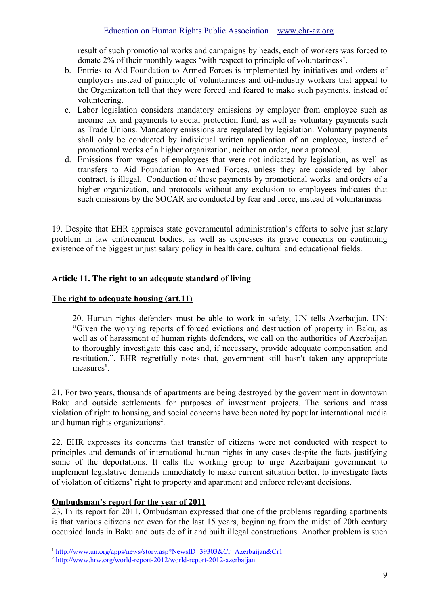result of such promotional works and campaigns by heads, each of workers was forced to donate 2% of their monthly wages 'with respect to principle of voluntariness'.

- b. Entries to Aid Foundation to Armed Forces is implemented by initiatives and orders of employers instead of principle of voluntariness and oil-industry workers that appeal to the Organization tell that they were forced and feared to make such payments, instead of volunteering.
- c. Labor legislation considers mandatory emissions by employer from employee such as income tax and payments to social protection fund, as well as voluntary payments such as Trade Unions. Mandatory emissions are regulated by legislation. Voluntary payments shall only be conducted by individual written application of an employee, instead of promotional works of a higher organization, neither an order, nor a protocol.
- d. Emissions from wages of employees that were not indicated by legislation, as well as transfers to Aid Foundation to Armed Forces, unless they are considered by labor contract, is illegal. Conduction of these payments by promotional works and orders of a higher organization, and protocols without any exclusion to employees indicates that such emissions by the SOCAR are conducted by fear and force, instead of voluntariness

19. Despite that EHR appraises state governmental administration's efforts to solve just salary problem in law enforcement bodies, as well as expresses its grave concerns on continuing existence of the biggest unjust salary policy in health care, cultural and educational fields.

#### **Article 11. The right to an adequate standard of living**

#### **The right to adequate housing (art.11)**

20. Human rights defenders must be able to work in safety, UN tells Azerbaijan. UN: "Given the worrying reports of forced evictions and destruction of property in Baku, as well as of harassment of human rights defenders, we call on the authorities of Azerbaijan to thoroughly investigate this case and, if necessary, provide adequate compensation and restitution,". EHR regretfully notes that, government still hasn't taken any appropriate measures**[1](#page-8-0)** .

21. For two years, thousands of apartments are being destroyed by the government in downtown Baku and outside settlements for purposes of investment projects. The serious and mass violation of right to housing, and social concerns have been noted by popular international media and human rights organizations<sup>[2](#page-8-1)</sup>.

22. EHR expresses its concerns that transfer of citizens were not conducted with respect to principles and demands of international human rights in any cases despite the facts justifying some of the deportations. It calls the working group to urge Azerbaijani government to implement legislative demands immediately to make current situation better, to investigate facts of violation of citizens' right to property and apartment and enforce relevant decisions.

#### **Ombudsman's report for the year of 2011**

23. In its report for 2011, Ombudsman expressed that one of the problems regarding apartments is that various citizens not even for the last 15 years, beginning from the midst of 20th century occupied lands in Baku and outside of it and built illegal constructions. Another problem is such

<span id="page-8-0"></span><sup>&</sup>lt;sup>1</sup> <http://www.un.org/apps/news/story.asp?NewsID=39303&Cr=Azerbaijan&Cr1>

<span id="page-8-1"></span><sup>&</sup>lt;sup>2</sup> <http://www.hrw.org/world-report-2012/world-report-2012-azerbaijan>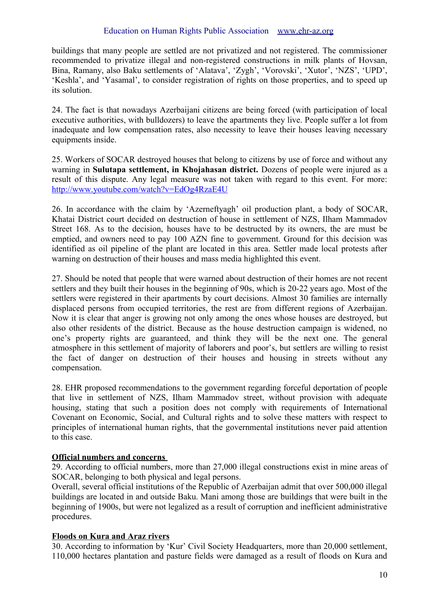buildings that many people are settled are not privatized and not registered. The commissioner recommended to privatize illegal and non-registered constructions in milk plants of Hovsan, Bina, Ramany, also Baku settlements of 'Alatava', 'Zygh', 'Vorovski', 'Xutor', 'NZS', 'UPD', 'Keshla', and 'Yasamal', to consider registration of rights on those properties, and to speed up its solution.

24. The fact is that nowadays Azerbaijani citizens are being forced (with participation of local executive authorities, with bulldozers) to leave the apartments they live. People suffer a lot from inadequate and low compensation rates, also necessity to leave their houses leaving necessary equipments inside.

25. Workers of SOCAR destroyed houses that belong to citizens by use of force and without any warning in **Sulutapa settlement, in Khojahasan district.** Dozens of people were injured as a result of this dispute. Any legal measure was not taken with regard to this event. For more: <http://www.youtube.com/watch?v=EdOg4RzaE4U>

26. In accordance with the claim by 'Azerneftyagh' oil production plant, a body of SOCAR, Khatai District court decided on destruction of house in settlement of NZS, Ilham Mammadov Street 168. As to the decision, houses have to be destructed by its owners, the are must be emptied, and owners need to pay 100 AZN fine to government. Ground for this decision was identified as oil pipeline of the plant are located in this area. Settler made local protests after warning on destruction of their houses and mass media highlighted this event.

27. Should be noted that people that were warned about destruction of their homes are not recent settlers and they built their houses in the beginning of 90s, which is 20-22 years ago. Most of the settlers were registered in their apartments by court decisions. Almost 30 families are internally displaced persons from occupied territories, the rest are from different regions of Azerbaijan. Now it is clear that anger is growing not only among the ones whose houses are destroyed, but also other residents of the district. Because as the house destruction campaign is widened, no one's property rights are guaranteed, and think they will be the next one. The general atmosphere in this settlement of majority of laborers and poor's, but settlers are willing to resist the fact of danger on destruction of their houses and housing in streets without any compensation.

28. EHR proposed recommendations to the government regarding forceful deportation of people that live in settlement of NZS, Ilham Mammadov street, without provision with adequate housing, stating that such a position does not comply with requirements of International Covenant on Economic, Social, and Cultural rights and to solve these matters with respect to principles of international human rights, that the governmental institutions never paid attention to this case.

# **Official numbers and concerns**

29. According to official numbers, more than 27,000 illegal constructions exist in mine areas of SOCAR, belonging to both physical and legal persons.

Overall, several official institutions of the Republic of Azerbaijan admit that over 500,000 illegal buildings are located in and outside Baku. Mani among those are buildings that were built in the beginning of 1900s, but were not legalized as a result of corruption and inefficient administrative procedures.

# **Floods on Kura and Araz rivers**

30. According to information by 'Kur' Civil Society Headquarters, more than 20,000 settlement, 110,000 hectares plantation and pasture fields were damaged as a result of floods on Kura and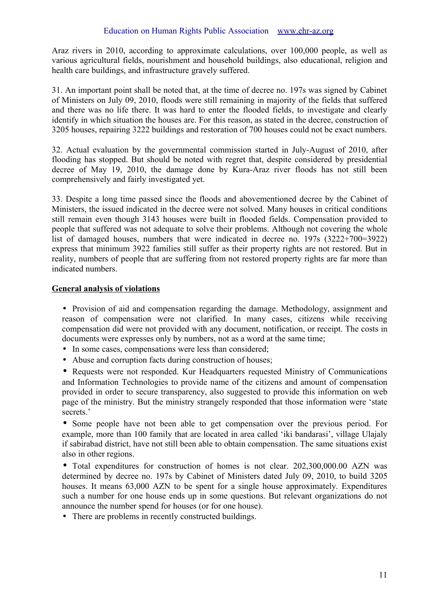Araz rivers in 2010, according to approximate calculations, over 100,000 people, as well as various agricultural fields, nourishment and household buildings, also educational, religion and health care buildings, and infrastructure gravely suffered.

31. An important point shall be noted that, at the time of decree no. 197s was signed by Cabinet of Ministers on July 09, 2010, floods were still remaining in majority of the fields that suffered and there was no life there. It was hard to enter the flooded fields, to investigate and clearly identify in which situation the houses are. For this reason, as stated in the decree, construction of 3205 houses, repairing 3222 buildings and restoration of 700 houses could not be exact numbers.

32. Actual evaluation by the governmental commission started in July-August of 2010, after flooding has stopped. But should be noted with regret that, despite considered by presidential decree of May 19, 2010, the damage done by Kura-Araz river floods has not still been comprehensively and fairly investigated yet.

33. Despite a long time passed since the floods and abovementioned decree by the Cabinet of Ministers, the issued indicated in the decree were not solved. Many houses in critical conditions still remain even though 3143 houses were built in flooded fields. Compensation provided to people that suffered was not adequate to solve their problems. Although not covering the whole list of damaged houses, numbers that were indicated in decree no. 197s (3222+700=3922) express that minimum 3922 families still suffer as their property rights are not restored. But in reality, numbers of people that are suffering from not restored property rights are far more than indicated numbers.

# **General analysis of violations**

• Provision of aid and compensation regarding the damage. Methodology, assignment and reason of compensation were not clarified. In many cases, citizens while receiving compensation did were not provided with any document, notification, or receipt. The costs in documents were expresses only by numbers, not as a word at the same time;

- In some cases, compensations were less than considered;
- Abuse and corruption facts during construction of houses;

• Requests were not responded. Kur Headquarters requested Ministry of Communications and Information Technologies to provide name of the citizens and amount of compensation provided in order to secure transparency, also suggested to provide this information on web page of the ministry. But the ministry strangely responded that those information were 'state secrets.'

• Some people have not been able to get compensation over the previous period. For example, more than 100 family that are located in area called 'iki bandarasi', village Ulajaly if sabirabad district, have not still been able to obtain compensation. The same situations exist also in other regions.

• Total expenditures for construction of homes is not clear. 202,300,000.00 AZN was determined by decree no. 197s by Cabinet of Ministers dated July 09, 2010, to build 3205 houses. It means 63,000 AZN to be spent for a single house approximately. Expenditures such a number for one house ends up in some questions. But relevant organizations do not announce the number spend for houses (or for one house).

• There are problems in recently constructed buildings.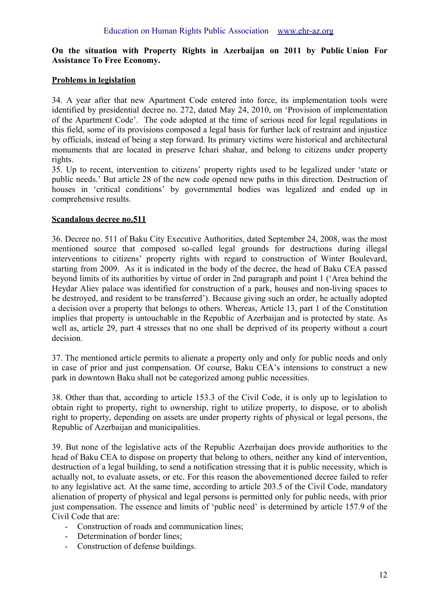#### **[On the situation with Property Rights in Azerbaijan](http://www.freeeconomy.az/index.php?option=com_content&view=article&id=137%3Ahesabat&catid=56%3Anrlr&Itemid=91&lang=en) on 2011 by Public Union For Assistance To Free Economy.**

#### **Problems in legislation**

34. A year after that new Apartment Code entered into force, its implementation tools were identified by presidential decree no. 272, dated May 24, 2010, on 'Provision of implementation of the Apartment Code'. The code adopted at the time of serious need for legal regulations in this field, some of its provisions composed a legal basis for further lack of restraint and injustice by officials, instead of being a step forward. Its primary victims were historical and architectural monuments that are located in preserve Ichari shahar, and belong to citizens under property rights.

35. Up to recent, intervention to citizens' property rights used to be legalized under 'state or public needs.' But article 28 of the new code opened new paths in this direction. Destruction of houses in 'critical conditions' by governmental bodies was legalized and ended up in comprehensive results.

#### **Scandalous decree no.511**

36. Decree no. 511 of Baku City Executive Authorities, dated September 24, 2008, was the most mentioned source that composed so-called legal grounds for destructions during illegal interventions to citizens' property rights with regard to construction of Winter Boulevard, starting from 2009. As it is indicated in the body of the decree, the head of Baku CEA passed beyond limits of its authorities by virtue of order in 2nd paragraph and point 1 ('Area behind the Heydar Aliev palace was identified for construction of a park, houses and non-living spaces to be destroyed, and resident to be transferred'). Because giving such an order, he actually adopted a decision over a property that belongs to others. Whereas, Article 13, part 1 of the Constitution implies that property is untouchable in the Republic of Azerbaijan and is protected by state. As well as, article 29, part 4 stresses that no one shall be deprived of its property without a court decision.

37. The mentioned article permits to alienate a property only and only for public needs and only in case of prior and just compensation. Of course, Baku CEA's intensions to construct a new park in downtown Baku shall not be categorized among public necessities.

38. Other than that, according to article 153.3 of the Civil Code, it is only up to legislation to obtain right to property, right to ownership, right to utilize property, to dispose, or to abolish right to property, depending on assets are under property rights of physical or legal persons, the Republic of Azerbaijan and municipalities.

39. But none of the legislative acts of the Republic Azerbaijan does provide authorities to the head of Baku CEA to dispose on property that belong to others, neither any kind of intervention, destruction of a legal building, to send a notification stressing that it is public necessity, which is actually not, to evaluate assets, or etc. For this reason the abovementioned decree failed to refer to any legislative act. At the same time, according to article 203.5 of the Civil Code, mandatory alienation of property of physical and legal persons is permitted only for public needs, with prior just compensation. The essence and limits of 'public need' is determined by article 157.9 of the Civil Code that are:

- Construction of roads and communication lines;
- Determination of border lines:
- Construction of defense buildings.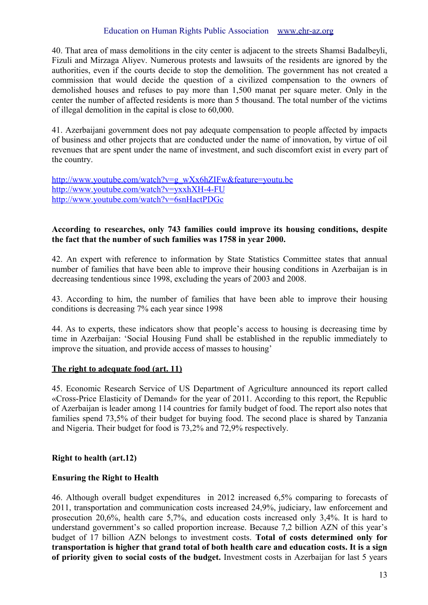40. That area of mass demolitions in the city center is adjacent to the streets Shamsi Badalbeyli, Fizuli and Mirzaga Aliyev. Numerous protests and lawsuits of the residents are ignored by the authorities, even if the courts decide to stop the demolition. The government has not created a commission that would decide the question of a civilized compensation to the owners of demolished houses and refuses to pay more than 1,500 manat per square meter. Only in the center the number of affected residents is more than 5 thousand. The total number of the victims of illegal demolition in the capital is close to 60,000.

41. Azerbaijani government does not pay adequate compensation to people affected by impacts of business and other projects that are conducted under the name of innovation, by virtue of oil revenues that are spent under the name of investment, and such discomfort exist in every part of the country.

[http://www.youtube.com/watch?v=g\\_wXx6hZIFw&feature=youtu.be](http://www.youtube.com/watch?v=g_wXx6hZIFw&feature=youtu.be) <http://www.youtube.com/watch?v=yxxhXH-4-FU> <http://www.youtube.com/watch?v=6snHactPDGc>

#### **According to researches, only 743 families could improve its housing conditions, despite the fact that the number of such families was 1758 in year 2000.**

42. An expert with reference to information by State Statistics Committee states that annual number of families that have been able to improve their housing conditions in Azerbaijan is in decreasing tendentious since 1998, excluding the years of 2003 and 2008.

43. According to him, the number of families that have been able to improve their housing conditions is decreasing 7% each year since 1998

44. As to experts, these indicators show that people's access to housing is decreasing time by time in Azerbaijan: 'Social Housing Fund shall be established in the republic immediately to improve the situation, and provide access of masses to housing'

# **The right to adequate food (art. 11)**

45. Economic Research Service of US Department of Agriculture announced its report called «Cross-Price Elasticity of Demand» for the year of 2011. According to this report, the Republic of Azerbaijan is leader among 114 countries for family budget of food. The report also notes that families spend 73,5% of their budget for buying food. The second place is shared by Tanzania and Nigeria. Their budget for food is 73,2% and 72,9% respectively.

# **Right to health (art.12)**

# **Ensuring the Right to Health**

46. Although overall budget expenditures in 2012 increased 6,5% comparing to forecasts of 2011, transportation and communication costs increased 24,9%, judiciary, law enforcement and prosecution 20,6%, health care 5,7%, and education costs increased only 3,4%. It is hard to understand government's so called proportion increase. Because 7,2 billion AZN of this year's budget of 17 billion AZN belongs to investment costs. **Total of costs determined only for transportation is higher that grand total of both health care and education costs. It is a sign of priority given to social costs of the budget.** Investment costs in Azerbaijan for last 5 years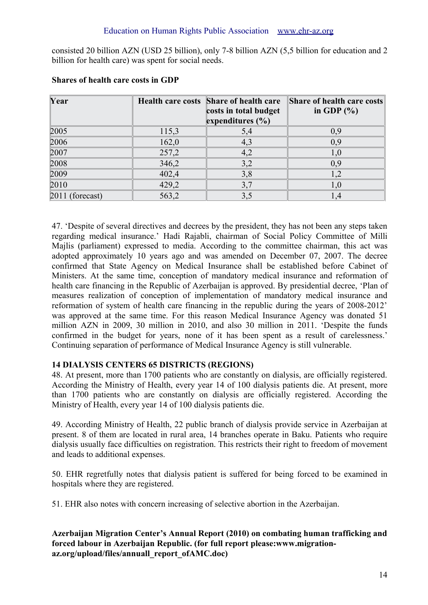consisted 20 billion AZN (USD 25 billion), only 7-8 billion AZN (5,5 billion for education and 2 billion for health care) was spent for social needs.

| Year            |       | Health care costs Share of health care | Share of health care costs |
|-----------------|-------|----------------------------------------|----------------------------|
|                 |       | costs in total budget                  | in GDP $(\% )$             |
|                 |       | expenditures $(\% )$                   |                            |
| 2005            | 115,3 | 5,4                                    | 0,9                        |
| 2006            | 162,0 | 4,3                                    | 0,9                        |
| 2007            | 257,2 | 4,2                                    | 1,0                        |
| 2008            | 346,2 | 3,2                                    | 0,9                        |
| 2009            | 402,4 | 3,8                                    | 1,2                        |
| 2010            | 429,2 | 3,7                                    | 1,0                        |
| 2011 (forecast) | 563,2 | 3,5                                    | 1,4                        |

#### **Shares of health care costs in GDP**

47. 'Despite of several directives and decrees by the president, they has not been any steps taken regarding medical insurance.' Hadi Rajabli, chairman of Social Policy Committee of Milli Majlis (parliament) expressed to media. According to the committee chairman, this act was adopted approximately 10 years ago and was amended on December 07, 2007. The decree confirmed that State Agency on Medical Insurance shall be established before Cabinet of Ministers. At the same time, conception of mandatory medical insurance and reformation of health care financing in the Republic of Azerbaijan is approved. By presidential decree, 'Plan of measures realization of conception of implementation of mandatory medical insurance and reformation of system of health care financing in the republic during the years of 2008-2012' was approved at the same time. For this reason Medical Insurance Agency was donated 51 million AZN in 2009, 30 million in 2010, and also 30 million in 2011. 'Despite the funds confirmed in the budget for years, none of it has been spent as a result of carelessness.' Continuing separation of performance of Medical Insurance Agency is still vulnerable.

# **14 DIALYSIS CENTERS 65 DISTRICTS (REGIONS)**

48. At present, more than 1700 patients who are constantly on dialysis, are officially registered. According the Ministry of Health, every year 14 of 100 dialysis patients die. At present, more than 1700 patients who are constantly on dialysis are officially registered. According the Ministry of Health, every year 14 of 100 dialysis patients die.

49. According Ministry of Health, 22 public branch of dialysis provide service in Azerbaijan at present. 8 of them are located in rural area, 14 branches operate in Baku. Patients who require dialysis usually face difficulties on registration. This restricts their right to freedom of movement and leads to additional expenses.

50. EHR regretfully notes that dialysis patient is suffered for being forced to be examined in hospitals where they are registered.

51. EHR also notes with concern increasing of selective abortion in the Azerbaijan.

**Azerbaijan Migration Center's Annual Report (2010) on combating human trafficking and forced labour in Azerbaijan Republic. (for full report please:www.migrationaz.org/upload/files/annuall\_report\_ofAMC.doc)**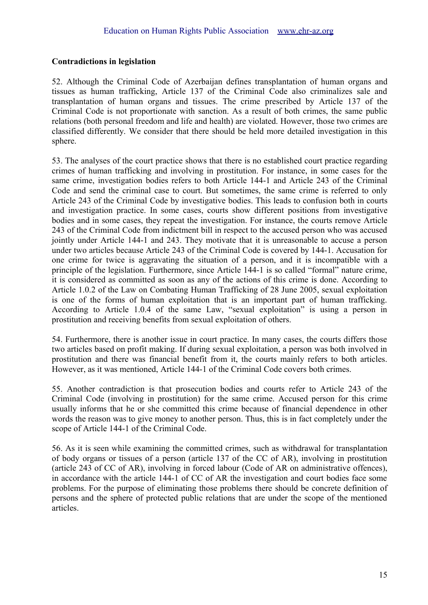# **Contradictions in legislation**

52. Although the Criminal Code of Azerbaijan defines transplantation of human organs and tissues as human trafficking, Article 137 of the Criminal Code also criminalizes sale and transplantation of human organs and tissues. The crime prescribed by Article 137 of the Criminal Code is not proportionate with sanction. As a result of both crimes, the same public relations (both personal freedom and life and health) are violated. However, those two crimes are classified differently. We consider that there should be held more detailed investigation in this sphere.

53. The analyses of the court practice shows that there is no established court practice regarding crimes of human trafficking and involving in prostitution. For instance, in some cases for the same crime, investigation bodies refers to both Article 144-1 and Article 243 of the Criminal Code and send the criminal case to court. But sometimes, the same crime is referred to only Article 243 of the Criminal Code by investigative bodies. This leads to confusion both in courts and investigation practice. In some cases, courts show different positions from investigative bodies and in some cases, they repeat the investigation. For instance, the courts remove Article 243 of the Criminal Code from indictment bill in respect to the accused person who was accused jointly under Article 144-1 and 243. They motivate that it is unreasonable to accuse a person under two articles because Article 243 of the Criminal Code is covered by 144-1. Accusation for one crime for twice is aggravating the situation of a person, and it is incompatible with a principle of the legislation. Furthermore, since Article 144-1 is so called "formal" nature crime, it is considered as committed as soon as any of the actions of this crime is done. According to Article 1.0.2 of the Law on Combating Human Trafficking of 28 June 2005, sexual exploitation is one of the forms of human exploitation that is an important part of human trafficking. According to Article 1.0.4 of the same Law, "sexual exploitation" is using a person in prostitution and receiving benefits from sexual exploitation of others.

54. Furthermore, there is another issue in court practice. In many cases, the courts differs those two articles based on profit making. If during sexual exploitation, a person was both involved in prostitution and there was financial benefit from it, the courts mainly refers to both articles. However, as it was mentioned, Article 144-1 of the Criminal Code covers both crimes.

55. Another contradiction is that prosecution bodies and courts refer to Article 243 of the Criminal Code (involving in prostitution) for the same crime. Accused person for this crime usually informs that he or she committed this crime because of financial dependence in other words the reason was to give money to another person. Thus, this is in fact completely under the scope of Article 144-1 of the Criminal Code.

56. As it is seen while examining the committed crimes, such as withdrawal for transplantation of body organs or tissues of a person (article 137 of the CC of AR), involving in prostitution (article 243 of CC of AR), involving in forced labour (Code of AR on administrative offences), in accordance with the article 144-1 of CC of AR the investigation and court bodies face some problems. For the purpose of eliminating those problems there should be concrete definition of persons and the sphere of protected public relations that are under the scope of the mentioned articles.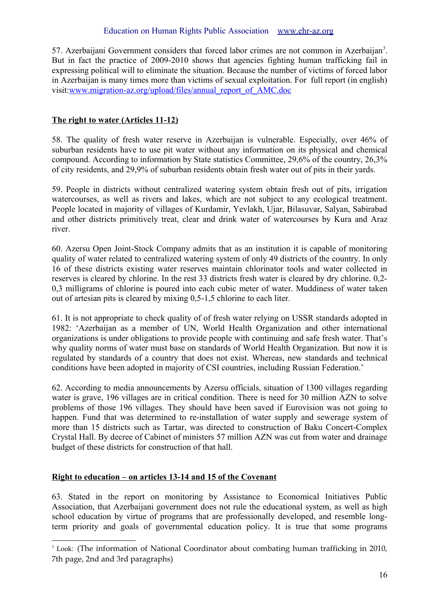57. Azerbaijani Government considers that forced labor crimes are not common in Azerbaijan<sup>[3](#page-15-0)</sup>. But in fact the practice of 2009-2010 shows that agencies fighting human trafficking fail in expressing political will to eliminate the situation. Because the number of victims of forced labor in Azerbaijan is many times more than victims of sexual exploitation. For full report (in english) visit[:www.migration-az.org/upload/files/annual\\_report\\_of\\_AMC.doc](http://www.migration-az.org/upload/files/annual_report_of_AMC.doc)

# **The right to water ( Articles 11-12)**

58. The quality of fresh water reserve in Azerbaijan is vulnerable. Especially, over 46% of suburban residents have to use pit water without any information on its physical and chemical compound. According to information by State statistics Committee, 29,6% of the country, 26,3% of city residents, and 29,9% of suburban residents obtain fresh water out of pits in their yards.

59. People in districts without centralized watering system obtain fresh out of pits, irrigation watercourses, as well as rivers and lakes, which are not subject to any ecological treatment. People located in majority of villages of Kurdamir, Yevlakh, Ujar, Bilasuvar, Salyan, Sabirabad and other districts primitively treat, clear and drink water of watercourses by Kura and Araz river.

60. Azersu Open Joint-Stock Company admits that as an institution it is capable of monitoring quality of water related to centralized watering system of only 49 districts of the country. In only 16 of these districts existing water reserves maintain chlorinator tools and water collected in reserves is cleared by chlorine. In the rest 33 districts fresh water is cleared by dry chlorine. 0,2- 0,3 milligrams of chlorine is poured into each cubic meter of water. Muddiness of water taken out of artesian pits is cleared by mixing 0,5-1,5 chlorine to each liter.

61. It is not appropriate to check quality of of fresh water relying on USSR standards adopted in 1982: 'Azerbaijan as a member of UN, World Health Organization and other international organizations is under obligations to provide people with continuing and safe fresh water. That's why quality norms of water must base on standards of World Health Organization. But now it is regulated by standards of a country that does not exist. Whereas, new standards and technical conditions have been adopted in majority of CSI countries, including Russian Federation.'

62. According to media announcements by Azersu officials, situation of 1300 villages regarding water is grave, 196 villages are in critical condition. There is need for 30 million AZN to solve problems of those 196 villages. They should have been saved if Eurovision was not going to happen. Fund that was determined to re-installation of water supply and sewerage system of more than 15 districts such as Tartar, was directed to construction of Baku Concert-Complex Crystal Hall. By decree of Cabinet of ministers 57 million AZN was cut from water and drainage budget of these districts for construction of that hall.

# **Right to education – on articles 13-14 and 15 of the Covenant**

63. Stated in the report on monitoring by Assistance to Economical Initiatives Public Association, that Azerbaijani government does not rule the educational system, as well as high school education by virtue of programs that are professionally developed, and resemble longterm priority and goals of governmental education policy. It is true that some programs

<span id="page-15-0"></span><sup>&</sup>lt;sup>3</sup> Look: (The information of National Coordinator about combating human trafficking in 2010, 7th page, 2nd and 3rd paragraphs)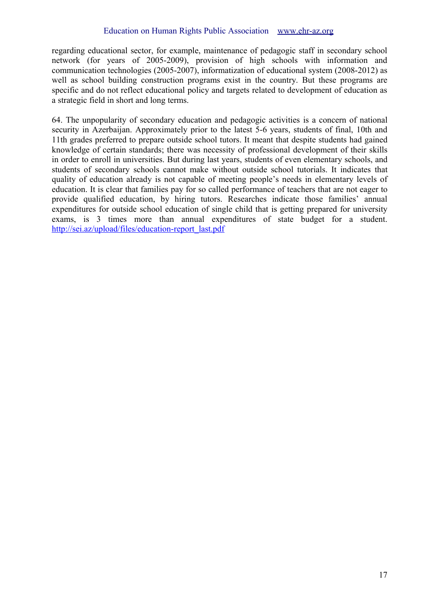regarding educational sector, for example, maintenance of pedagogic staff in secondary school network (for years of 2005-2009), provision of high schools with information and communication technologies (2005-2007), informatization of educational system (2008-2012) as well as school building construction programs exist in the country. But these programs are specific and do not reflect educational policy and targets related to development of education as a strategic field in short and long terms.

64. The unpopularity of secondary education and pedagogic activities is a concern of national security in Azerbaijan. Approximately prior to the latest 5-6 years, students of final, 10th and 11th grades preferred to prepare outside school tutors. It meant that despite students had gained knowledge of certain standards; there was necessity of professional development of their skills in order to enroll in universities. But during last years, students of even elementary schools, and students of secondary schools cannot make without outside school tutorials. It indicates that quality of education already is not capable of meeting people's needs in elementary levels of education. It is clear that families pay for so called performance of teachers that are not eager to provide qualified education, by hiring tutors. Researches indicate those families' annual expenditures for outside school education of single child that is getting prepared for university exams, is 3 times more than annual expenditures of state budget for a student. [http://sei.az/upload/files/education-report\\_last.pdf](http://sei.az/upload/files/education-report_last.pdf)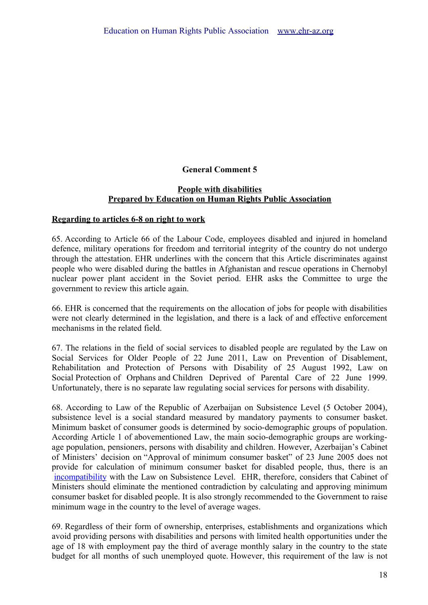# **General Comment 5**

#### **People with disabilities Prepared by Education on Human Rights Public Association**

#### **Regarding to articles 6-8 on right to work**

65. According to Article 66 of the Labour Code, employees disabled and injured in homeland defence, military operations for freedom and territorial integrity of the country do not undergo through the attestation. EHR underlines with the concern that this Article discriminates against people who were disabled during the battles in Afghanistan and rescue operations in Chernobyl nuclear power plant accident in the Soviet period. EHR asks the Committee to urge the government to review this article again.

66. EHR is concerned that the requirements on the allocation of jobs for people with disabilities were not clearly determined in the legislation, and there is a lack of and effective enforcement mechanisms in the related field.

67. The relations in the field of social services to disabled people are regulated by the Law on Social Services for Older People of 22 June 2011, Law on Prevention of Disablement, Rehabilitation and Protection of Persons with Disability of 25 August 1992, Law on Social Protection of Orphans and Children Deprived of Parental Care of 22 June 1999. Unfortunately, there is no separate law regulating social services for persons with disability.

68. According to Law of the Republic of Azerbaijan on Subsistence Level (5 October 2004), subsistence level is a social standard measured by mandatory payments to consumer basket. Minimum basket of consumer goods is determined by socio-demographic groups of population. According Article 1 of abovementioned Law, the main socio-demographic groups are workingage population, pensioners, persons with disability and children. However, Azerbaijan's Cabinet of Ministers' decision on "Approval of minimum consumer basket" of 23 June 2005 does not provide for calculation of minimum consumer basket for disabled people, thus, there is an [incompatibility](http://lingvopro.abbyyonline.com/ru/Search/GlossaryItemExtraInfo?text=%D0%BF%D1%80%D0%BE%D1%82%D0%B8%D0%B2%D0%BE%D1%80%D0%B5%D1%87%D0%B8%D0%B5&translation=incompatibility&srcLang=ru&destLang=en) with the Law on Subsistence Level. EHR, therefore, considers that Cabinet of Ministers should eliminate the mentioned contradiction by calculating and approving minimum consumer basket for disabled people. It is also strongly recommended to the Government to raise minimum wage in the country to the level of average wages.

69. Regardless of their form of ownership, enterprises, establishments and organizations which avoid providing persons with disabilities and persons with limited health opportunities under the age of 18 with employment pay the third of average monthly salary in the country to the state budget for all months of such unemployed quote. However, this requirement of the law is not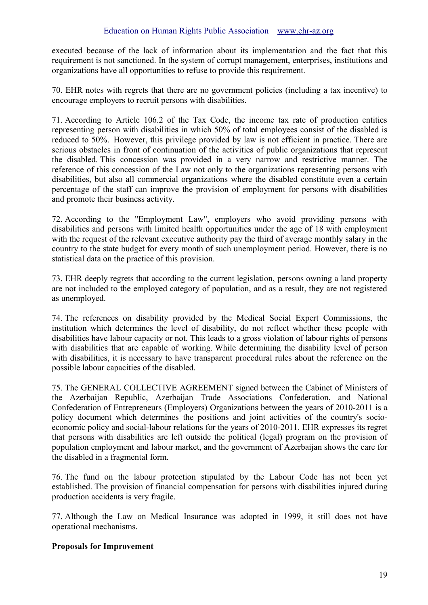executed because of the lack of information about its implementation and the fact that this requirement is not sanctioned. In the system of corrupt management, enterprises, institutions and organizations have all opportunities to refuse to provide this requirement.

70. EHR notes with regrets that there are no government policies (including a tax incentive) to encourage employers to recruit persons with disabilities.

71. According to Article 106.2 of the Tax Code, the income tax rate of production entities representing person with disabilities in which 50% of total employees consist of the disabled is reduced to 50%. However, this privilege provided by law is not efficient in practice. There are serious obstacles in front of continuation of the activities of public organizations that represent the disabled. This concession was provided in a very narrow and restrictive manner. The reference of this concession of the Law not only to the organizations representing persons with disabilities, but also all commercial organizations where the disabled constitute even a certain percentage of the staff can improve the provision of employment for persons with disabilities and promote their business activity.

72. According to the "Employment Law", employers who avoid providing persons with disabilities and persons with limited health opportunities under the age of 18 with employment with the request of the relevant executive authority pay the third of average monthly salary in the country to the state budget for every month of such unemployment period. However, there is no statistical data on the practice of this provision.

73. EHR deeply regrets that according to the current legislation, persons owning a land property are not included to the employed category of population, and as a result, they are not registered as unemployed.

74. The references on disability provided by the Medical Social Expert Commissions, the institution which determines the level of disability, do not reflect whether these people with disabilities have labour capacity or not. This leads to a gross violation of labour rights of persons with disabilities that are capable of working. While determining the disability level of person with disabilities, it is necessary to have transparent procedural rules about the reference on the possible labour capacities of the disabled.

75. The GENERAL COLLECTIVE AGREEMENT signed between the Cabinet of Ministers of the Azerbaijan Republic, Azerbaijan Trade Associations Confederation, and National Confederation of Entrepreneurs (Employers) Organizations between the years of 2010-2011 is a policy document which determines the positions and joint activities of the country's socioeconomic policy and social-labour relations for the years of 2010-2011. EHR expresses its regret that persons with disabilities are left outside the political (legal) program on the provision of population employment and labour market, and the government of Azerbaijan shows the care for the disabled in a fragmental form.

76. The fund on the labour protection stipulated by the Labour Code has not been yet established. The provision of financial compensation for persons with disabilities injured during production accidents is very fragile.

77. Although the Law on Medical Insurance was adopted in 1999, it still does not have operational mechanisms.

# **Proposals for Improvement**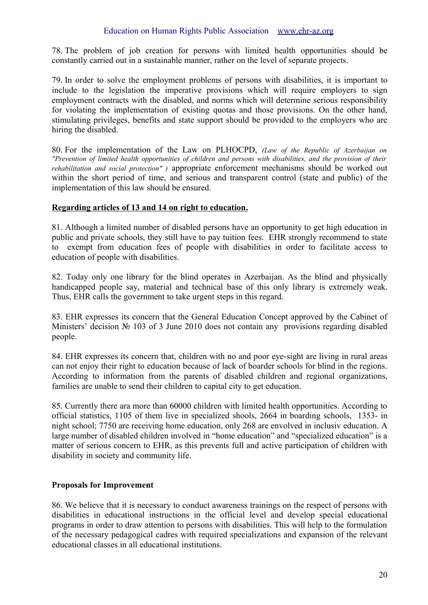78. The problem of job creation for persons with limited health opportunities should be constantly carried out in a sustainable manner, rather on the level of separate projects.

79. In order to solve the employment problems of persons with disabilities, it is important to include to the legislation the imperative provisions which will require employers to sign employment contracts with the disabled, and norms which will determine serious responsibility for violating the implementation of existing quotas and those provisions. On the other hand, stimulating privileges, benefits and state support should be provided to the employers who are hiring the disabled.

80. For the implementation of the Law on PLHOCPD, *(Law of the Republic of Azerbaijan on "Prevention of limited health opportunities of children and persons with disabilities, and the provision of their rehabilitation and social protection" )* appropriate enforcement mechanisms should be worked out within the short period of time, and serious and transparent control (state and public) of the implementation of this law should be ensured.

#### **Regarding articles of 13 and 14 on right to education.**

81. Although a limited number of disabled persons have an opportunity to get high education in public and private schools, they still have to pay tuition fees. EHR strongly recommend to state to exempt from education fees of people with disabilities in order to facilitate access to education of people with disabilities.

82. Today only one library for the blind operates in Azerbaijan. As the blind and physically handicapped people say, material and technical base of this only library is extremely weak. Thus, EHR calls the government to take urgent steps in this regard.

83. EHR expresses its concern that the General Education Concept approved by the Cabinet of Ministers' decision № 103 of 3 June 2010 does not contain any provisions regarding disabled people.

84. EHR expresses its concern that, children with no and poor eye-sight are living in rural areas can not enjoy their right to education because of lack of boarder schools for blind in the regions. According to information from the parents of disabled children and regional organizations, families are unable to send their children to capital city to get education.

85. Currently there ara more than 60000 children with limited health opportunities. According to official statistics, 1105 of them live in specialized shools, 2664 in boarding schools, 1353- in night school; 7750 are receiving home education, only 268 are envolved in inclusiv education. A large number of disabled children involved in "home education" and "specialized education" is a matter of serious concern to EHR, as this prevents full and active participation of children with disability in society and community life.

# **Proposals for Improvement**

86. We believe that it is necessary to conduct awareness trainings on the respect of persons with disabilities in educational instructions in the official level and develop special educational programs in order to draw attention to persons with disabilities. This will help to the formulation of the necessary pedagogical cadres with required specializations and expansion of the relevant educational classes in all educational institutions.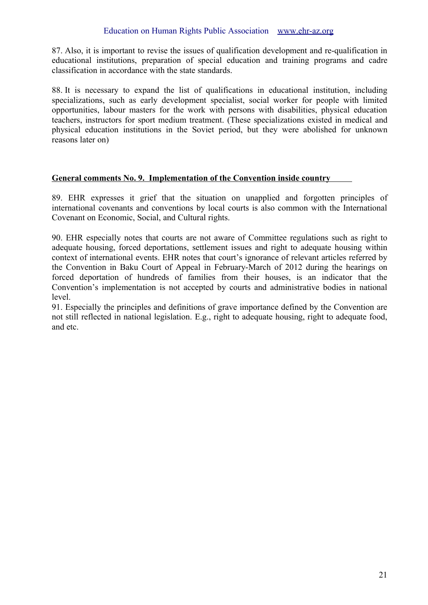87. Also, it is important to revise the issues of qualification development and re-qualification in educational institutions, preparation of special education and training programs and cadre classification in accordance with the state standards.

88. It is necessary to expand the list of qualifications in educational institution, including specializations, such as early development specialist, social worker for people with limited opportunities, labour masters for the work with persons with disabilities, physical education teachers, instructors for sport medium treatment. (These specializations existed in medical and physical education institutions in the Soviet period, but they were abolished for unknown reasons later on)

# **General comments No. 9. Implementation of the Convention inside country**

89. EHR expresses it grief that the situation on unapplied and forgotten principles of international covenants and conventions by local courts is also common with the International Covenant on Economic, Social, and Cultural rights.

90. EHR especially notes that courts are not aware of Committee regulations such as right to adequate housing, forced deportations, settlement issues and right to adequate housing within context of international events. EHR notes that court's ignorance of relevant articles referred by the Convention in Baku Court of Appeal in February-March of 2012 during the hearings on forced deportation of hundreds of families from their houses, is an indicator that the Convention's implementation is not accepted by courts and administrative bodies in national level.

91. Especially the principles and definitions of grave importance defined by the Convention are not still reflected in national legislation. E.g., right to adequate housing, right to adequate food, and etc.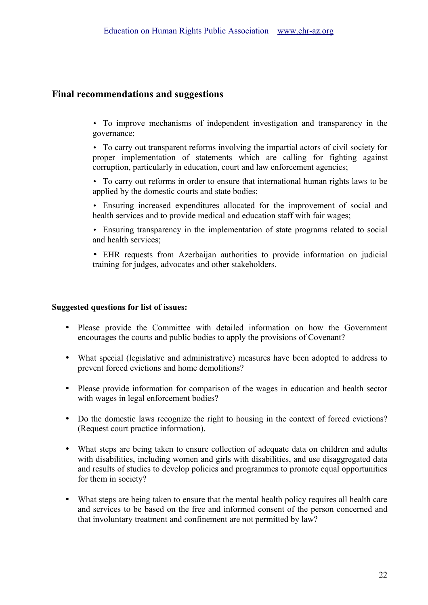# **Final recommendations and suggestions**

- To improve mechanisms of independent investigation and transparency in the governance;
- To carry out transparent reforms involving the impartial actors of civil society for proper implementation of statements which are calling for fighting against corruption, particularly in education, court and law enforcement agencies;
- To carry out reforms in order to ensure that international human rights laws to be applied by the domestic courts and state bodies;
- Ensuring increased expenditures allocated for the improvement of social and health services and to provide medical and education staff with fair wages:
- Ensuring transparency in the implementation of state programs related to social and health services;
- EHR requests from Azerbaijan authorities to provide information on judicial training for judges, advocates and other stakeholders.

#### **Suggested questions for list of issues:**

- Please provide the Committee with detailed information on how the Government encourages the courts and public bodies to apply the provisions of Covenant?
- What special (legislative and administrative) measures have been adopted to address to prevent forced evictions and home demolitions?
- Please provide information for comparison of the wages in education and health sector with wages in legal enforcement bodies?
- Do the domestic laws recognize the right to housing in the context of forced evictions? (Request court practice information).
- What steps are being taken to ensure collection of adequate data on children and adults with disabilities, including women and girls with disabilities, and use disaggregated data and results of studies to develop policies and programmes to promote equal opportunities for them in society?
- What steps are being taken to ensure that the mental health policy requires all health care and services to be based on the free and informed consent of the person concerned and that involuntary treatment and confinement are not permitted by law?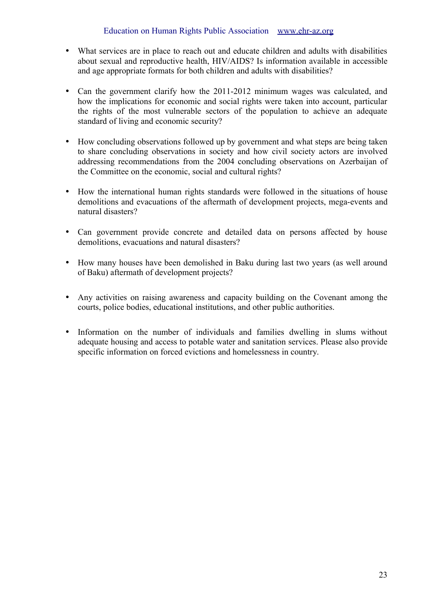- What services are in place to reach out and educate children and adults with disabilities about sexual and reproductive health, HIV/AIDS? Is information available in accessible and age appropriate formats for both children and adults with disabilities?
- Can the government clarify how the 2011-2012 minimum wages was calculated, and how the implications for economic and social rights were taken into account, particular the rights of the most vulnerable sectors of the population to achieve an adequate standard of living and economic security?
- How concluding observations followed up by government and what steps are being taken to share concluding observations in society and how civil society actors are involved addressing recommendations from the 2004 concluding observations on Azerbaijan of the Committee on the economic, social and cultural rights?
- How the international human rights standards were followed in the situations of house demolitions and evacuations of the aftermath of development projects, mega-events and natural disasters?
- Can government provide concrete and detailed data on persons affected by house demolitions, evacuations and natural disasters?
- How many houses have been demolished in Baku during last two years (as well around of Baku) aftermath of development projects?
- Any activities on raising awareness and capacity building on the Covenant among the courts, police bodies, educational institutions, and other public authorities.
- Information on the number of individuals and families dwelling in slums without adequate housing and access to potable water and sanitation services. Please also provide specific information on forced evictions and homelessness in country.